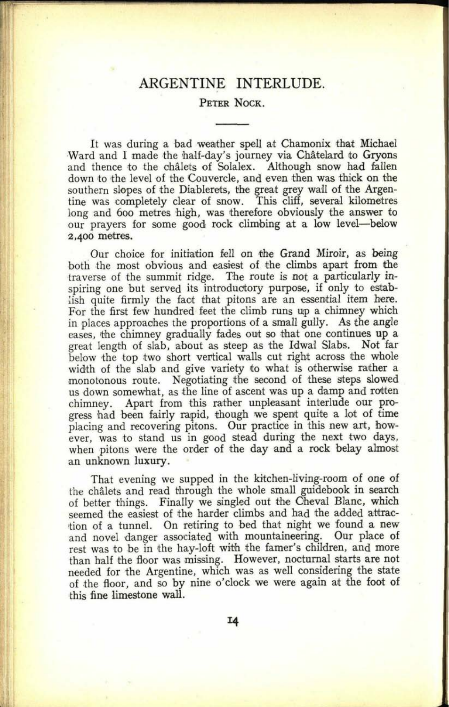## ARGENTINE INTERLUDE.

## PETER NOCK.

It was during a bad weather spell at Chamonix that Michael Ward and I made the half-day's journey via Châtelard to Gryons and thence to the chalets of Solalex. Although snow had fallen down to the level of the Couvercle, and even then was thick on the southern slopes of the Diablerets, the great grey wall of the Argentine was completely clear of snow. This cliff, several kilometres long and 600 metres high, was therefore obviously the answer to our prayers for some good rock climbing at a low level-below 2,400 metres.

Our choice for initiation fell on the Grand Miroir, as being both the most obvious and easiest of the climbs apart from the traverse of the summit ridge. The route is not a particularly inspiring one but served its introductory purpose, if only to establish quite firmly the fact that pitons are an essential item here. For the first few hundred feet the climb runs up <sup>a</sup>chimney which in places approaches the proportions of a small gully. As the angle eases, the chimney gradually fades out so that one continues up <sup>a</sup> great length of slab, about as steep as the Idwal Slabs. Not far below the top two short vertical walls cut right across the whole width of the slab and give variety to what is otherwise rather <sup>a</sup> monotonous route. Negotiating the second of these steps slowed us down somewhat, as the line of ascent was up a damp and rotten chimney. Apart from this rather unpleasant interlude our progress had been fairly rapid, though we spent quite a lot of time placing and recovering pitons. Our practice in this new art, however, was to stand us in good stead during the next two days, when pitons were the order of the day and a rock belay almost an unknown luxury.

That evening we supped in the kitchen-living-room of one of the chalets and read through the whole small guidebook in search of better things. Finally we singled out the Oheval Blanc, which seemed the easiest of the harder climbs and had the added attraction of a tunnel. On retiring to bed that night we found a new and novel danger associated with mountaineering. Our place of rest was to be in the hay-loft with the famer's children, and more than half the floor was missing. However, nocturnal starts are not needed for the Argentine, which was as well considering the state of the floor, and so by nine o'clock we were again at the foot of this fine limestone wall.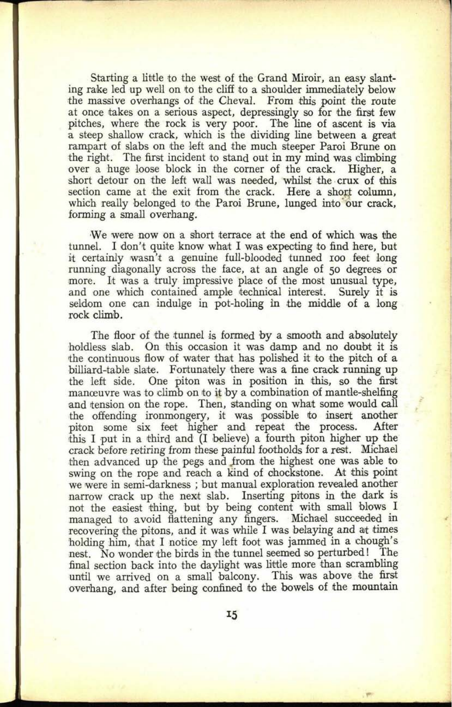Starting a little to the west of the Grand Miroir, an easy slanting rake led up well on to the cliff to a shoulder immediately below the massive overhangs of the Cheval. From this point the route at once takes on <sup>a</sup>serious aspect, depressingly so for the first few pitches, where the rock is very poor. The line of ascent is via a steep shallow crack, which is the dividing line between a great rampart of slabs on the left and the much steeper Paroi Brune on the right. The first incident to stand out in my mind was climbing over a huge loose block in the corner of the crack. Higher, a over a huge loose block in the corner of the crack. short detour on the left wall was needed, whilst the crux of this section came at the exit from the crack. Here a short column, which really belonged to the Paroi Brune, lunged into our crack, forming a small overhang.

We were now on <sup>a</sup>short terrace at the end of which was the tunnel. I don't quite know what I was expecting to find here, but it certainly wasn't a genuine full-blooded tunned 100 feet long running diagonally across the face, at an angle of 50 degrees or more. It was a truly impressive place of the most unusual type, and one which contained ample technical interest. Surely it is seldom one can indulge in pot-holing in the middle of a long rock climb.

The floor of the tunnel is formed by a smooth and absolutely holdless slab. On this occasion it was damp and no doubt it is the continuous flow of water that has polished it to the pitch of a billiard-table slate. Fortunately there was a fine crack running up the left side. One piton was in position in this, so the first manceuvre was to climb on to it by a combination of mantle-shelfing and tension on the rope. Then, standing on what some would call the offending ironmongery, it was possible to insert another piton some six feet higher and repeat the process. After this I put in a third and (I believe) a fourth piton higher up the crack before retiring from these painful footholds for a rest. Michael then advanced up the pegs and from the highest one was able to swing on the rope and reach a kind of chockstone. At this point we were in semi-darkness ; but manual exploration revealed another narrow crack up the next slab. Inserting pitons in the dark is not the easiest thing, but by being content with small blows I managed to avoid flattening any fingers. Michael succeeded in recovering the pitons, and it was while I was belaying and at times holding him, that I notice my left foot was jammed in a chough's nest. No wonder the birds in the tunnel seemed so perturbed! The final section back into the daylight was little more than scrambling until we arrived on <sup>a</sup>small balcony. This was above the first overhang, and after being confined to the bowels of the mountain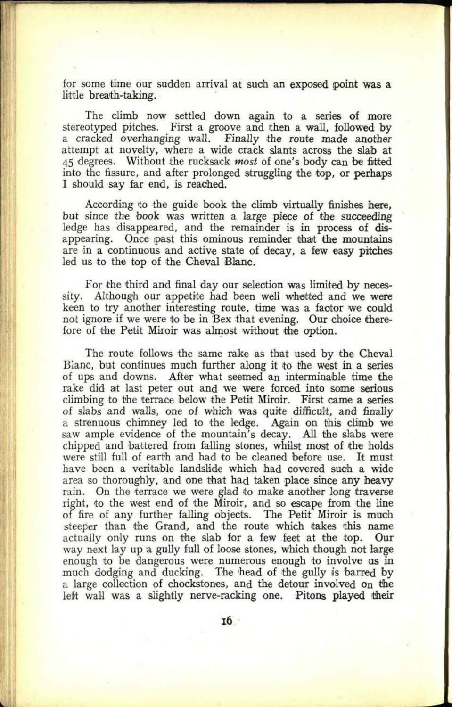for some time our sudden arrival at such an exposed point was <sup>a</sup> little breath-taking.

The climb now settled down again to a series of more stereotyped pitches. First <sup>a</sup>groove and then a wall, followed by a cracked overhanging wall. Finally the route made another attempt at novelty, where a wide crack slants across the slab at 45 degrees. Without the rucksack *most* of one's body can be fitted into the fissure, and after prolonged struggling the top, or perhaps I should say far end, is reached.

According to the guide book the climb virtually finishes here, but since the book was written a large piece of the succeeding ledge has disappeared, and the remainder is in process of disappearing. Once past this ominous reminder that the mountains are in a continuous and active state of decay, a few easy pitches led us to the top of the Oheval Blanc.

For the third and final day our selection was limited by necessity. Although our appetite had been well whetted and we were keen to try another interesting route, time was a factor we could not ignore if we were to be in Bex that evening. Our choice therefore of the Petit Miroir was almost without the option.

The route follows the same rake as that used by the Cheval Blanc, but continues much further along it to the west in a series of ups and downs. After what seemed an interminable time the rake did at last peter out and we were forced into some serious climbing to the terrace below the Petit Miroir. First came a series of slabs and walls, one of which was quite difficult, and finally a strenuous chimney led to the ledge. Again on this climb we saw ample evidence of the mountain's decay. All the slabs were chipped and battered from falling stones, whilst most of the holds were still full of earth and had to be cleaned before use. It must have been a veritable landslide which had covered such a wide area so thoroughly, and one that had taken place since any heavy rain. On the terrace we were glad to make another long traverse right, to the west end of the Miroir, and so escape from the line of fire of any further falling objects. The Petit Miroir is much steeper than the Grand, and the route which takes this name actually only runs on the slab for a few feet at the top. Our way next lay up <sup>a</sup>gully full of loose stones, which though not large enough to be dangerous were numerous enough to involve us in much dodging and ducking. The head of the gully is barred by a large collection of chockstones, and the detour involved on the left wall was a slightly nerve-racking one. Pitons played their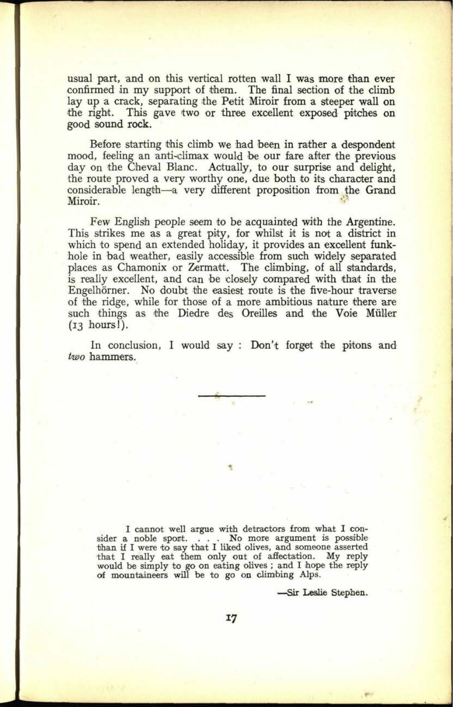usual part, and on this vertical rotten wall I was more than ever confirmed in my support of them. The final section of the climb lay up a crack, separating the Petit Miroir from a steeper wall on the right. This gave two or three excellent exposed pitches on good sound rock.

Before starting this climb we had been in rather a despondent mood, feeling an anti-climax would be our fare after the previous day on the Gheval Blanc. Actually, to our surprise and delight, the route proved a very worthy one, due both to its character and considerable length-a very different proposition from the Grand Miroir.

Few English people seem to be acquainted with the Argentine. This strikes me as a great pity, for whilst it is not a district in which to spend an extended holiday, it provides an excellent funkhole in bad weather, easily accessible from such widely separated places as Chamonix or Zermatt. The climbing, of all standards, is really excellent, and can be closely compared with that in the Engelhörner. No doubt the easiest route is the five-hour traverse of the ridge, while for those of a more ambitious nature there are such things as the Diedre des Oreilles and the Voie Müller (13 hours!).

In conclusion, I would say : Don't forget the pitons and *two* hammers.

I cannot well argue with detractors from what I consider a noble sport. . . . No more argument is possible than if I were to say that I liked olives, and someone asserted that I really eat them only out of affectation. My reply would be simply to go on eating olives ; and I hope the reply of mountaineers will be to go on climbing Alps.

Sir Leslie Stephen.